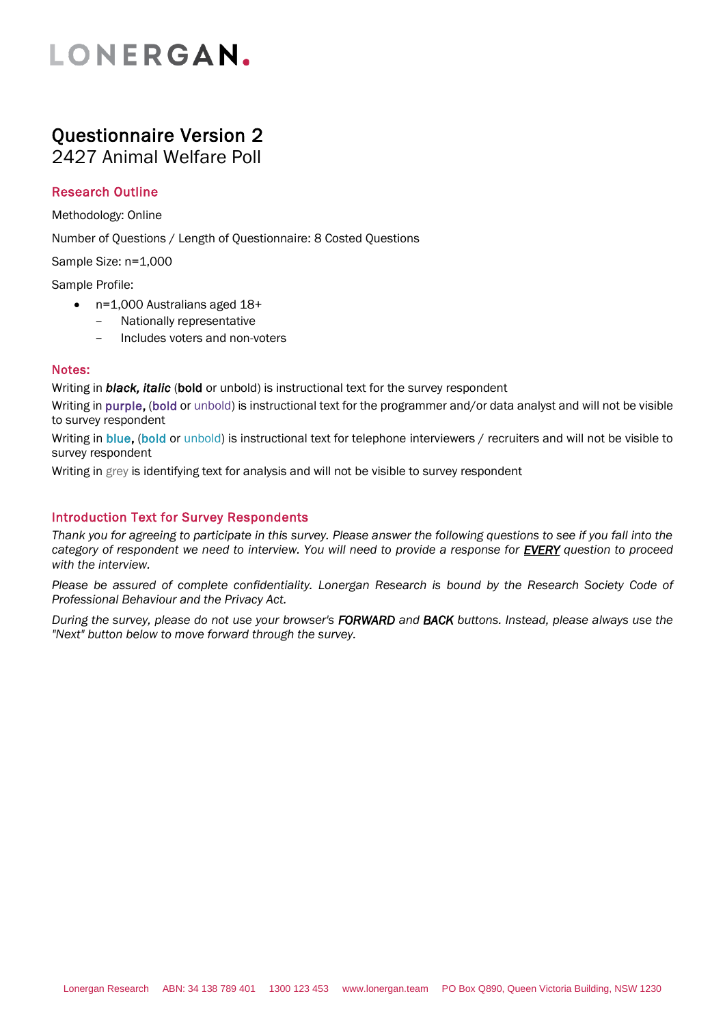### Questionnaire Version 2

2427 Animal Welfare Poll

### Research Outline

Methodology: Online

Number of Questions / Length of Questionnaire: 8 Costed Questions

Sample Size: n=1,000

Sample Profile:

- n=1,000 Australians aged 18+
	- Nationally representative
	- Includes voters and non-voters

#### Notes:

Writing in *black, italic* (bold or unbold) is instructional text for the survey respondent

Writing in purple, (bold or unbold) is instructional text for the programmer and/or data analyst and will not be visible to survey respondent

Writing in blue, (bold or unbold) is instructional text for telephone interviewers / recruiters and will not be visible to survey respondent

Writing in grey is identifying text for analysis and will not be visible to survey respondent

#### Introduction Text for Survey Respondents

*Thank you for agreeing to participate in this survey. Please answer the following questions to see if you fall into the category of respondent we need to interview. You will need to provide a response for EVERY question to proceed with the interview.*

*Please be assured of complete confidentiality. Lonergan Research is bound by the Research Society Code of Professional Behaviour and the Privacy Act.*

*During the survey, please do not use your browser's FORWARD and BACK buttons. Instead, please always use the "Next" button below to move forward through the survey.*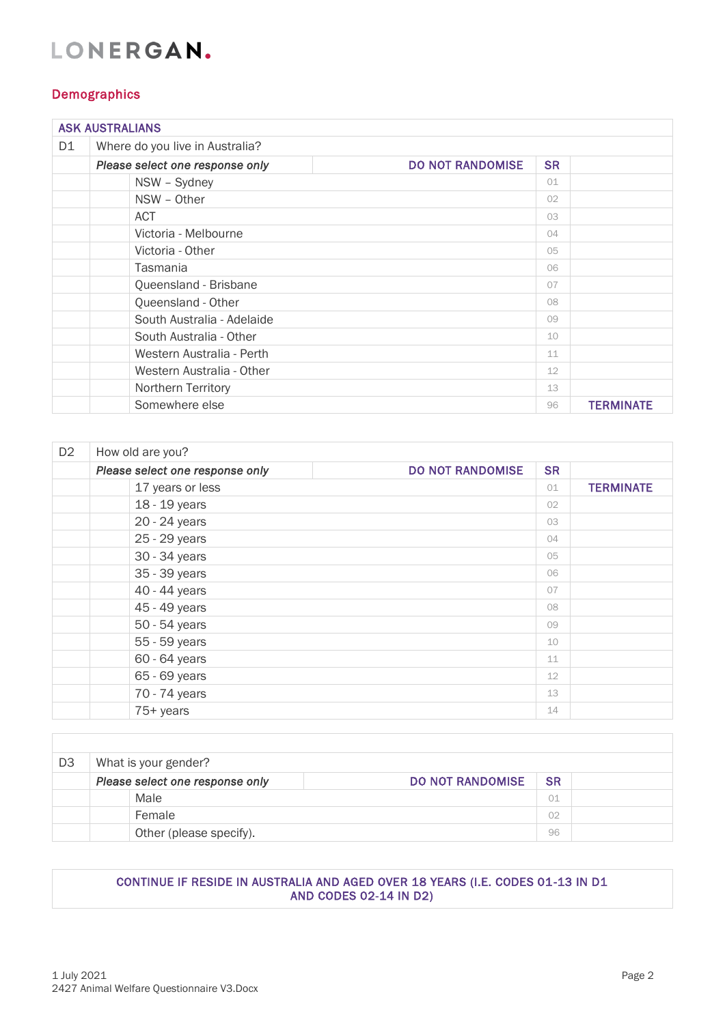#### **Demographics**

|    | <b>ASK AUSTRALIANS</b>          |                                 |                         |           |                  |  |
|----|---------------------------------|---------------------------------|-------------------------|-----------|------------------|--|
| D1 | Where do you live in Australia? |                                 |                         |           |                  |  |
|    |                                 | Please select one response only | <b>DO NOT RANDOMISE</b> | <b>SR</b> |                  |  |
|    |                                 | NSW - Sydney                    |                         | 01        |                  |  |
|    |                                 | NSW - Other                     |                         | 02        |                  |  |
|    |                                 | <b>ACT</b>                      |                         | 03        |                  |  |
|    |                                 | Victoria - Melbourne            |                         | 04        |                  |  |
|    |                                 | Victoria - Other                |                         | 05        |                  |  |
|    |                                 | Tasmania                        |                         | 06        |                  |  |
|    |                                 | Queensland - Brisbane           |                         | 07        |                  |  |
|    |                                 | Queensland - Other              |                         | 08        |                  |  |
|    |                                 | South Australia - Adelaide      |                         | 09        |                  |  |
|    |                                 | South Australia - Other         |                         | 10        |                  |  |
|    |                                 | Western Australia - Perth       |                         | 11        |                  |  |
|    |                                 | Western Australia - Other       |                         | 12        |                  |  |
|    |                                 | Northern Territory              |                         | 13        |                  |  |
|    |                                 | Somewhere else                  |                         | 96        | <b>TERMINATE</b> |  |

| D <sub>2</sub> | How old are you? |                                 |                         |           |                  |
|----------------|------------------|---------------------------------|-------------------------|-----------|------------------|
|                |                  | Please select one response only | <b>DO NOT RANDOMISE</b> | <b>SR</b> |                  |
|                |                  | 17 years or less                |                         | 01        | <b>TERMINATE</b> |
|                |                  | 18 - 19 years                   |                         | 02        |                  |
|                |                  | 20 - 24 years                   |                         | 03        |                  |
|                |                  | 25 - 29 years                   |                         | 04        |                  |
|                |                  | 30 - 34 years                   |                         | 05        |                  |
|                |                  | 35 - 39 years                   |                         | 06        |                  |
|                |                  | 40 - 44 years                   |                         | 07        |                  |
|                |                  | 45 - 49 years                   |                         | 08        |                  |
|                |                  | 50 - 54 years                   |                         | 09        |                  |
|                |                  | 55 - 59 years                   |                         | 10        |                  |
|                |                  | 60 - 64 years                   |                         | 11        |                  |
|                |                  | 65 - 69 years                   |                         | 12        |                  |
|                |                  | 70 - 74 years                   |                         | 13        |                  |
|                |                  | 75+ years                       |                         | 14        |                  |

| D3 | What is your gender? |                                 |                         |           |  |
|----|----------------------|---------------------------------|-------------------------|-----------|--|
|    |                      | Please select one response only | <b>DO NOT RANDOMISE</b> | <b>SR</b> |  |
|    |                      | Male                            |                         | 01        |  |
|    |                      | Female                          |                         | 02        |  |
|    |                      | Other (please specify).         |                         | 96        |  |

#### CONTINUE IF RESIDE IN AUSTRALIA AND AGED OVER 18 YEARS (I.E. CODES 01-13 IN D1 AND CODES 02-14 IN D2)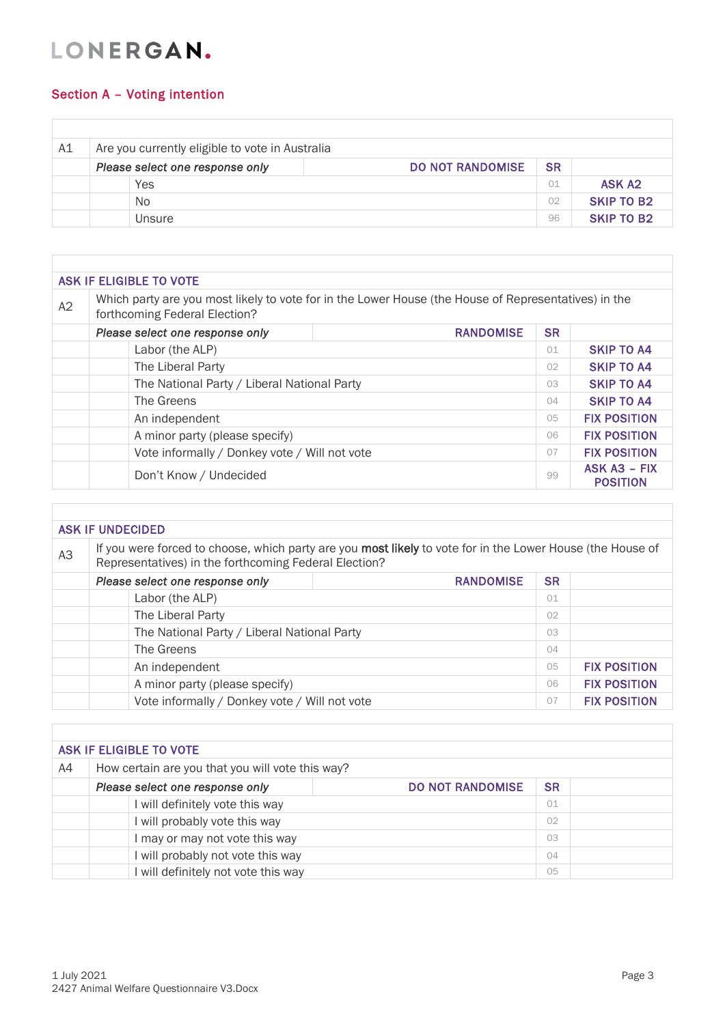### Section A – Voting intention

F

 $\overline{\Gamma}$ 

 $\overline{1}$ 

| A1 | Are you currently eligible to vote in Australia |                         |           |                    |  |  |
|----|-------------------------------------------------|-------------------------|-----------|--------------------|--|--|
|    | Please select one response only                 | <b>DO NOT RANDOMISE</b> | <b>SR</b> |                    |  |  |
|    | Yes                                             |                         | 01        | ASK A <sub>2</sub> |  |  |
|    | No.                                             |                         | 02        | SKIP TO B2         |  |  |
|    | Unsure                                          |                         | 96        | <b>SKIP TO B2</b>  |  |  |

|    |                                                                                                                                       | ASK IF ELIGIBLE TO VOTE                       |  |    |                                 |  |
|----|---------------------------------------------------------------------------------------------------------------------------------------|-----------------------------------------------|--|----|---------------------------------|--|
| A2 | Which party are you most likely to vote for in the Lower House (the House of Representatives) in the<br>forthcoming Federal Election? |                                               |  |    |                                 |  |
|    | Please select one response only<br><b>RANDOMISE</b>                                                                                   |                                               |  |    |                                 |  |
|    |                                                                                                                                       | Labor (the ALP)                               |  | 01 | <b>SKIP TO A4</b>               |  |
|    |                                                                                                                                       | The Liberal Party                             |  | 02 | <b>SKIP TO A4</b>               |  |
|    |                                                                                                                                       | The National Party / Liberal National Party   |  | 03 | <b>SKIP TO A4</b>               |  |
|    |                                                                                                                                       | The Greens                                    |  | 04 | <b>SKIP TO A4</b>               |  |
|    |                                                                                                                                       | An independent                                |  | 05 | <b>FIX POSITION</b>             |  |
|    |                                                                                                                                       | A minor party (please specify)                |  | 06 | <b>FIX POSITION</b>             |  |
|    |                                                                                                                                       | Vote informally / Donkey vote / Will not vote |  | 07 | <b>FIX POSITION</b>             |  |
|    |                                                                                                                                       | Don't Know / Undecided                        |  | 99 | ASK A3 - FIX<br><b>POSITION</b> |  |

|                | <b>ASK IF UNDECIDED</b>                                                                                                                                             |                                               |  |    |                     |  |
|----------------|---------------------------------------------------------------------------------------------------------------------------------------------------------------------|-----------------------------------------------|--|----|---------------------|--|
| A <sub>3</sub> | If you were forced to choose, which party are you most likely to vote for in the Lower House (the House of<br>Representatives) in the forthcoming Federal Election? |                                               |  |    |                     |  |
|                | Please select one response only<br><b>RANDOMISE</b>                                                                                                                 |                                               |  |    |                     |  |
|                |                                                                                                                                                                     | Labor (the ALP)                               |  | 01 |                     |  |
|                |                                                                                                                                                                     | The Liberal Party                             |  | 02 |                     |  |
|                |                                                                                                                                                                     | The National Party / Liberal National Party   |  | 03 |                     |  |
|                |                                                                                                                                                                     | The Greens                                    |  | 04 |                     |  |
|                |                                                                                                                                                                     | An independent                                |  | 05 | <b>FIX POSITION</b> |  |
|                |                                                                                                                                                                     | A minor party (please specify)                |  | 06 | <b>FIX POSITION</b> |  |
|                |                                                                                                                                                                     | Vote informally / Donkey vote / Will not vote |  | 07 | <b>FIX POSITION</b> |  |

|    | ASK IF ELIGIBLE TO VOTE                          |                         |           |  |  |
|----|--------------------------------------------------|-------------------------|-----------|--|--|
| A4 | How certain are you that you will vote this way? |                         |           |  |  |
|    | Please select one response only                  | <b>DO NOT RANDOMISE</b> | <b>SR</b> |  |  |
|    | I will definitely vote this way                  |                         | 01        |  |  |
|    | I will probably vote this way                    |                         | 02        |  |  |
|    | I may or may not vote this way                   |                         | 03        |  |  |
|    | I will probably not vote this way                |                         | 04        |  |  |
|    | I will definitely not vote this way              |                         | 05        |  |  |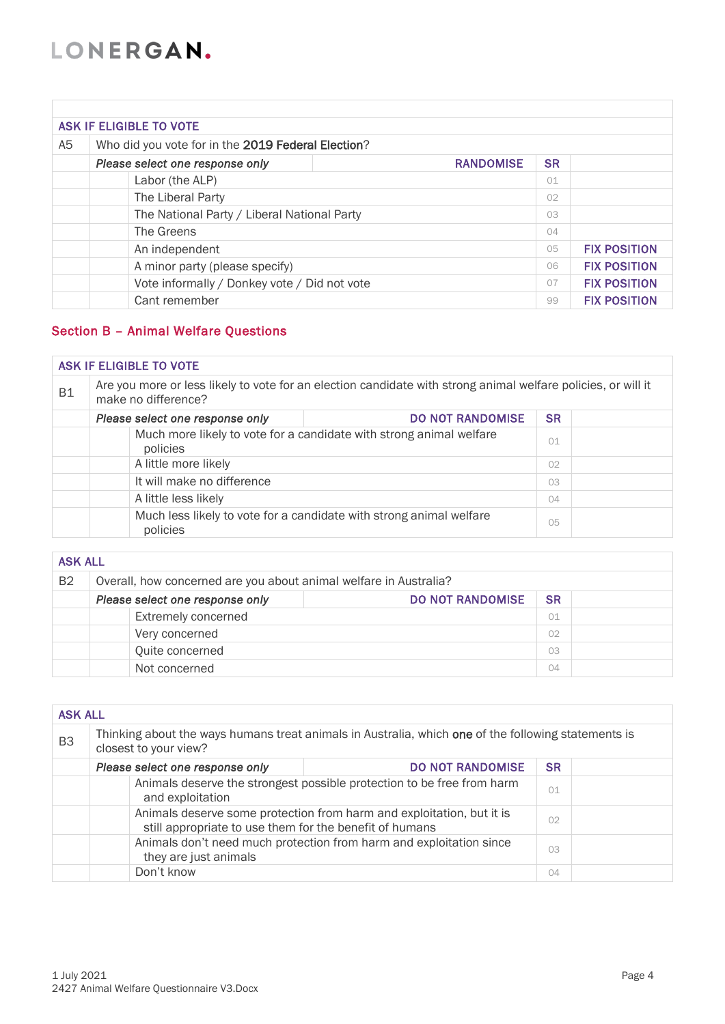|    | ASK IF ELIGIBLE TO VOTE                             |                |                     |
|----|-----------------------------------------------------|----------------|---------------------|
| A5 | Who did you vote for in the 2019 Federal Election?  |                |                     |
|    | Please select one response only<br><b>RANDOMISE</b> | <b>SR</b>      |                     |
|    | Labor (the ALP)                                     | 01             |                     |
|    | The Liberal Party                                   | 02             |                     |
|    | The National Party / Liberal National Party         | 03             |                     |
|    | The Greens                                          | 04             |                     |
|    | An independent                                      | 05             | <b>FIX POSITION</b> |
|    | A minor party (please specify)                      | 06             | <b>FIX POSITION</b> |
|    | Vote informally / Donkey vote / Did not vote        | O <sub>7</sub> | <b>FIX POSITION</b> |
|    | Cant remember                                       | 99             | <b>FIX POSITION</b> |

### Section B – Animal Welfare Questions

#### ASK IF ELIGIBLE TO VOTE

| <b>B1</b> | Are you more or less likely to vote for an election candidate with strong animal welfare policies, or will it |
|-----------|---------------------------------------------------------------------------------------------------------------|
|           | make no difference?                                                                                           |

| Please select one response only | <b>DO NOT RANDOMISE</b>                                             | <b>SR</b> |  |
|---------------------------------|---------------------------------------------------------------------|-----------|--|
| policies                        | Much more likely to vote for a candidate with strong animal welfare | 01        |  |
| A little more likely            |                                                                     | 02        |  |
| It will make no difference      |                                                                     | 03        |  |
| A little less likely            |                                                                     | 04        |  |
| policies                        | Much less likely to vote for a candidate with strong animal welfare | 05        |  |

#### ASK ALL

| <b>B2</b> | Overall, how concerned are you about animal welfare in Australia? |                         |           |  |
|-----------|-------------------------------------------------------------------|-------------------------|-----------|--|
|           | Please select one response only                                   | <b>DO NOT RANDOMISE</b> | <b>SR</b> |  |
|           | <b>Extremely concerned</b>                                        |                         | 01        |  |
|           | Very concerned                                                    |                         | 02        |  |
|           | Quite concerned                                                   |                         | 03        |  |
|           | Not concerned                                                     |                         | 04        |  |

|                | <b>ASK ALL</b>                                                                                                               |                                                                        |           |  |  |  |
|----------------|------------------------------------------------------------------------------------------------------------------------------|------------------------------------------------------------------------|-----------|--|--|--|
| B <sub>3</sub> | Thinking about the ways humans treat animals in Australia, which one of the following statements is<br>closest to your view? |                                                                        |           |  |  |  |
|                | Please select one response only                                                                                              | <b>DO NOT RANDOMISE</b>                                                | <b>SR</b> |  |  |  |
|                | and exploitation                                                                                                             | Animals deserve the strongest possible protection to be free from harm | 01        |  |  |  |
|                | still appropriate to use them for the benefit of humans                                                                      | Animals deserve some protection from harm and exploitation, but it is  | 02        |  |  |  |
|                | they are just animals                                                                                                        | Animals don't need much protection from harm and exploitation since    | 03        |  |  |  |
|                | Don't know                                                                                                                   |                                                                        | 04        |  |  |  |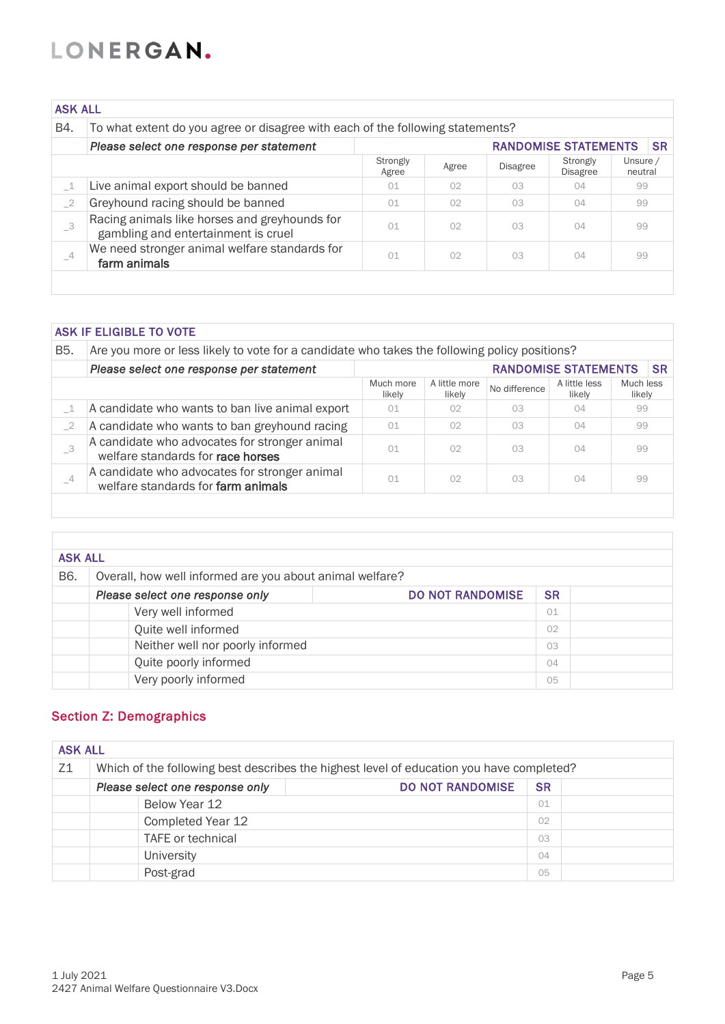| <b>ASK ALL</b> |                                                                                      |                   |                |                 |                             |                     |  |  |
|----------------|--------------------------------------------------------------------------------------|-------------------|----------------|-----------------|-----------------------------|---------------------|--|--|
| B4.            | To what extent do you agree or disagree with each of the following statements?       |                   |                |                 |                             |                     |  |  |
|                | <b>SR</b><br><b>RANDOMISE STATEMENTS</b><br>Please select one response per statement |                   |                |                 |                             |                     |  |  |
|                |                                                                                      | Strongly<br>Agree | Agree          | <b>Disagree</b> | Strongly<br><b>Disagree</b> | Unsure /<br>neutral |  |  |
|                | Live animal export should be banned                                                  | 01                | 02             | 0.3             | 04                          | 99                  |  |  |
| $-2$           | Greyhound racing should be banned                                                    | 01                | O <sub>2</sub> | 0.3             | 04                          | 99                  |  |  |
| $-3$           | Racing animals like horses and greyhounds for<br>gambling and entertainment is cruel | 01                | 02             | 03              | 04                          | 99                  |  |  |
| $-4$           | We need stronger animal welfare standards for<br>farm animals                        | 01                | O <sub>2</sub> | 03              | 04                          | 99                  |  |  |
|                |                                                                                      |                   |                |                 |                             |                     |  |  |

| <b>ASK IF ELIGIBLE TO VOTE</b> |                                                                                               |                     |                         |               |                         |                     |  |
|--------------------------------|-----------------------------------------------------------------------------------------------|---------------------|-------------------------|---------------|-------------------------|---------------------|--|
| B5.                            | Are you more or less likely to vote for a candidate who takes the following policy positions? |                     |                         |               |                         |                     |  |
|                                | <b>RANDOMISE STATEMENTS</b><br><b>SR</b><br>Please select one response per statement          |                     |                         |               |                         |                     |  |
|                                |                                                                                               | Much more<br>likely | A little more<br>likelv | No difference | A little less<br>likelv | Much less<br>likely |  |
| $\_1$                          | A candidate who wants to ban live animal export                                               | 01                  | 02                      | 0.3           | 04                      | 99                  |  |
| $-2$                           | A candidate who wants to ban greyhound racing                                                 | O <sub>1</sub>      | O <sub>2</sub>          | 03            | 04                      | 99                  |  |
| $-3$                           | A candidate who advocates for stronger animal<br>welfare standards for race horses            | O <sub>1</sub>      | O <sub>2</sub>          | 0.3           | 04                      | 99                  |  |
| $-4$                           | A candidate who advocates for stronger animal<br>welfare standards for farm animals           | O <sub>1</sub>      | O <sub>2</sub>          | 03            | 04                      | 99                  |  |

| <b>ASK ALL</b> |                                                          |                         |           |  |  |  |
|----------------|----------------------------------------------------------|-------------------------|-----------|--|--|--|
| B6.            | Overall, how well informed are you about animal welfare? |                         |           |  |  |  |
|                | Please select one response only                          | <b>DO NOT RANDOMISE</b> | <b>SR</b> |  |  |  |
|                | Very well informed                                       |                         | 01        |  |  |  |
|                | Quite well informed                                      |                         | 02        |  |  |  |
|                | Neither well nor poorly informed                         |                         | 03        |  |  |  |
|                | Quite poorly informed                                    |                         | 04        |  |  |  |
|                | Very poorly informed                                     |                         | 05        |  |  |  |

### Section Z: Demographics

| <b>ASK ALL</b> |                                                                                          |                         |           |  |  |  |
|----------------|------------------------------------------------------------------------------------------|-------------------------|-----------|--|--|--|
| Z1             | Which of the following best describes the highest level of education you have completed? |                         |           |  |  |  |
|                | Please select one response only                                                          | <b>DO NOT RANDOMISE</b> | <b>SR</b> |  |  |  |
|                | Below Year 12                                                                            |                         | 01        |  |  |  |
|                | Completed Year 12                                                                        |                         | 02        |  |  |  |
|                | <b>TAFE</b> or technical                                                                 |                         | 03        |  |  |  |
|                | University                                                                               |                         | 04        |  |  |  |
|                | Post-grad                                                                                |                         | 05        |  |  |  |